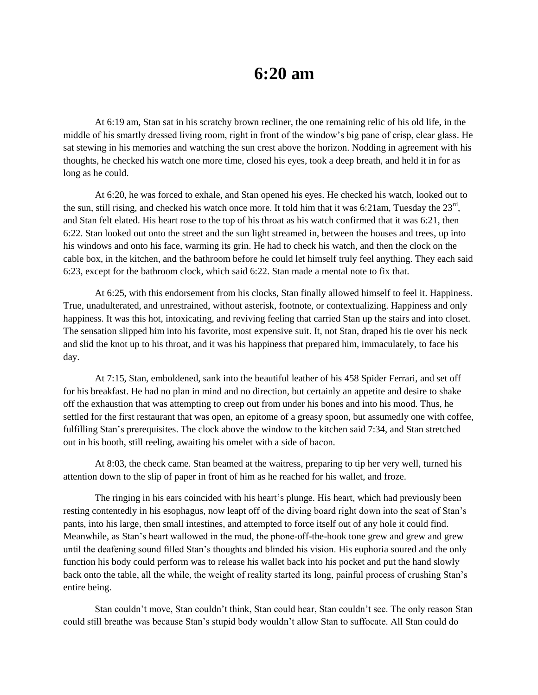## **6:20 am**

At 6:19 am, Stan sat in his scratchy brown recliner, the one remaining relic of his old life, in the middle of his smartly dressed living room, right in front of the window's big pane of crisp, clear glass. He sat stewing in his memories and watching the sun crest above the horizon. Nodding in agreement with his thoughts, he checked his watch one more time, closed his eyes, took a deep breath, and held it in for as long as he could.

At 6:20, he was forced to exhale, and Stan opened his eyes. He checked his watch, looked out to the sun, still rising, and checked his watch once more. It told him that it was 6:21am, Tuesday the  $23<sup>rd</sup>$ , and Stan felt elated. His heart rose to the top of his throat as his watch confirmed that it was 6:21, then 6:22. Stan looked out onto the street and the sun light streamed in, between the houses and trees, up into his windows and onto his face, warming its grin. He had to check his watch, and then the clock on the cable box, in the kitchen, and the bathroom before he could let himself truly feel anything. They each said 6:23, except for the bathroom clock, which said 6:22. Stan made a mental note to fix that.

At 6:25, with this endorsement from his clocks, Stan finally allowed himself to feel it. Happiness. True, unadulterated, and unrestrained, without asterisk, footnote, or contextualizing. Happiness and only happiness. It was this hot, intoxicating, and reviving feeling that carried Stan up the stairs and into closet. The sensation slipped him into his favorite, most expensive suit. It, not Stan, draped his tie over his neck and slid the knot up to his throat, and it was his happiness that prepared him, immaculately, to face his day.

At 7:15, Stan, emboldened, sank into the beautiful leather of his 458 Spider Ferrari, and set off for his breakfast. He had no plan in mind and no direction, but certainly an appetite and desire to shake off the exhaustion that was attempting to creep out from under his bones and into his mood. Thus, he settled for the first restaurant that was open, an epitome of a greasy spoon, but assumedly one with coffee, fulfilling Stan's prerequisites. The clock above the window to the kitchen said 7:34, and Stan stretched out in his booth, still reeling, awaiting his omelet with a side of bacon.

At 8:03, the check came. Stan beamed at the waitress, preparing to tip her very well, turned his attention down to the slip of paper in front of him as he reached for his wallet, and froze.

The ringing in his ears coincided with his heart's plunge. His heart, which had previously been resting contentedly in his esophagus, now leapt off of the diving board right down into the seat of Stan's pants, into his large, then small intestines, and attempted to force itself out of any hole it could find. Meanwhile, as Stan's heart wallowed in the mud, the phone-off-the-hook tone grew and grew and grew until the deafening sound filled Stan's thoughts and blinded his vision. His euphoria soured and the only function his body could perform was to release his wallet back into his pocket and put the hand slowly back onto the table, all the while, the weight of reality started its long, painful process of crushing Stan's entire being.

Stan couldn't move, Stan couldn't think, Stan could hear, Stan couldn't see. The only reason Stan could still breathe was because Stan's stupid body wouldn't allow Stan to suffocate. All Stan could do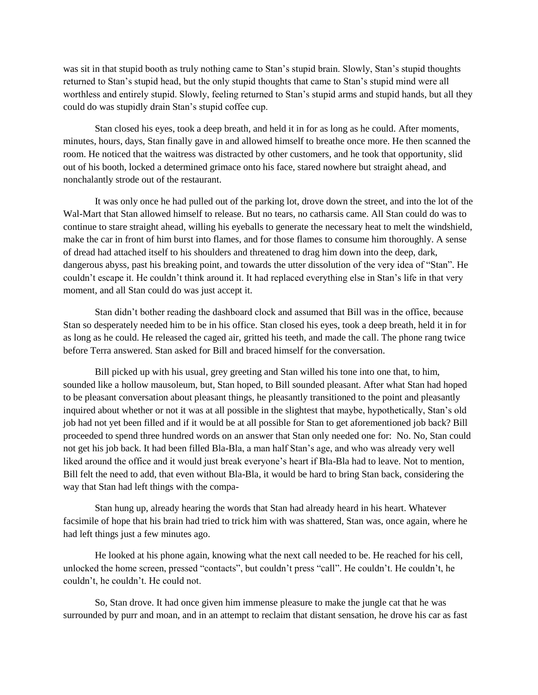was sit in that stupid booth as truly nothing came to Stan's stupid brain. Slowly, Stan's stupid thoughts returned to Stan's stupid head, but the only stupid thoughts that came to Stan's stupid mind were all worthless and entirely stupid. Slowly, feeling returned to Stan's stupid arms and stupid hands, but all they could do was stupidly drain Stan's stupid coffee cup.

Stan closed his eyes, took a deep breath, and held it in for as long as he could. After moments, minutes, hours, days, Stan finally gave in and allowed himself to breathe once more. He then scanned the room. He noticed that the waitress was distracted by other customers, and he took that opportunity, slid out of his booth, locked a determined grimace onto his face, stared nowhere but straight ahead, and nonchalantly strode out of the restaurant.

It was only once he had pulled out of the parking lot, drove down the street, and into the lot of the Wal-Mart that Stan allowed himself to release. But no tears, no catharsis came. All Stan could do was to continue to stare straight ahead, willing his eyeballs to generate the necessary heat to melt the windshield, make the car in front of him burst into flames, and for those flames to consume him thoroughly. A sense of dread had attached itself to his shoulders and threatened to drag him down into the deep, dark, dangerous abyss, past his breaking point, and towards the utter dissolution of the very idea of "Stan". He couldn't escape it. He couldn't think around it. It had replaced everything else in Stan's life in that very moment, and all Stan could do was just accept it.

Stan didn't bother reading the dashboard clock and assumed that Bill was in the office, because Stan so desperately needed him to be in his office. Stan closed his eyes, took a deep breath, held it in for as long as he could. He released the caged air, gritted his teeth, and made the call. The phone rang twice before Terra answered. Stan asked for Bill and braced himself for the conversation.

Bill picked up with his usual, grey greeting and Stan willed his tone into one that, to him, sounded like a hollow mausoleum, but, Stan hoped, to Bill sounded pleasant. After what Stan had hoped to be pleasant conversation about pleasant things, he pleasantly transitioned to the point and pleasantly inquired about whether or not it was at all possible in the slightest that maybe, hypothetically, Stan's old job had not yet been filled and if it would be at all possible for Stan to get aforementioned job back? Bill proceeded to spend three hundred words on an answer that Stan only needed one for: No. No, Stan could not get his job back. It had been filled Bla-Bla, a man half Stan's age, and who was already very well liked around the office and it would just break everyone's heart if Bla-Bla had to leave. Not to mention, Bill felt the need to add, that even without Bla-Bla, it would be hard to bring Stan back, considering the way that Stan had left things with the compa-

Stan hung up, already hearing the words that Stan had already heard in his heart. Whatever facsimile of hope that his brain had tried to trick him with was shattered, Stan was, once again, where he had left things just a few minutes ago.

He looked at his phone again, knowing what the next call needed to be. He reached for his cell, unlocked the home screen, pressed "contacts", but couldn't press "call". He couldn't. He couldn't, he couldn't, he couldn't. He could not.

So, Stan drove. It had once given him immense pleasure to make the jungle cat that he was surrounded by purr and moan, and in an attempt to reclaim that distant sensation, he drove his car as fast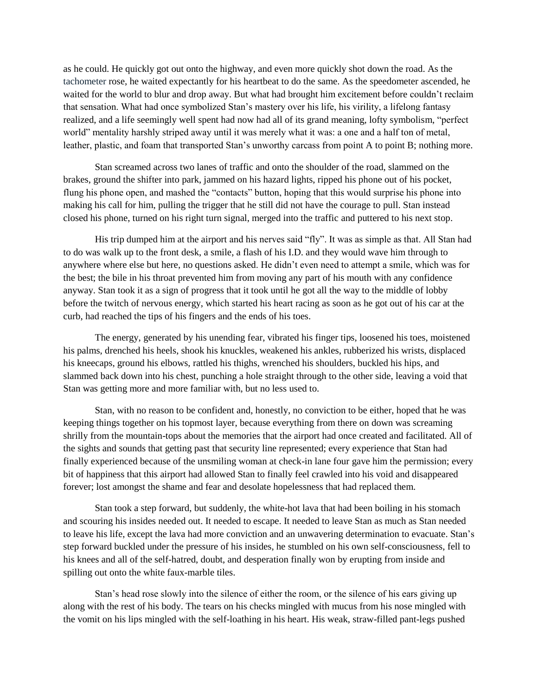as he could. He quickly got out onto the highway, and even more quickly shot down the road. As the tachometer rose, he waited expectantly for his heartbeat to do the same. As the speedometer ascended, he waited for the world to blur and drop away. But what had brought him excitement before couldn't reclaim that sensation. What had once symbolized Stan's mastery over his life, his virility, a lifelong fantasy realized, and a life seemingly well spent had now had all of its grand meaning, lofty symbolism, "perfect world" mentality harshly striped away until it was merely what it was: a one and a half ton of metal, leather, plastic, and foam that transported Stan's unworthy carcass from point A to point B; nothing more.

Stan screamed across two lanes of traffic and onto the shoulder of the road, slammed on the brakes, ground the shifter into park, jammed on his hazard lights, ripped his phone out of his pocket, flung his phone open, and mashed the "contacts" button, hoping that this would surprise his phone into making his call for him, pulling the trigger that he still did not have the courage to pull. Stan instead closed his phone, turned on his right turn signal, merged into the traffic and puttered to his next stop.

His trip dumped him at the airport and his nerves said "fly". It was as simple as that. All Stan had to do was walk up to the front desk, a smile, a flash of his I.D. and they would wave him through to anywhere where else but here, no questions asked. He didn't even need to attempt a smile, which was for the best; the bile in his throat prevented him from moving any part of his mouth with any confidence anyway. Stan took it as a sign of progress that it took until he got all the way to the middle of lobby before the twitch of nervous energy, which started his heart racing as soon as he got out of his car at the curb, had reached the tips of his fingers and the ends of his toes.

The energy, generated by his unending fear, vibrated his finger tips, loosened his toes, moistened his palms, drenched his heels, shook his knuckles, weakened his ankles, rubberized his wrists, displaced his kneecaps, ground his elbows, rattled his thighs, wrenched his shoulders, buckled his hips, and slammed back down into his chest, punching a hole straight through to the other side, leaving a void that Stan was getting more and more familiar with, but no less used to.

Stan, with no reason to be confident and, honestly, no conviction to be either, hoped that he was keeping things together on his topmost layer, because everything from there on down was screaming shrilly from the mountain-tops about the memories that the airport had once created and facilitated. All of the sights and sounds that getting past that security line represented; every experience that Stan had finally experienced because of the unsmiling woman at check-in lane four gave him the permission; every bit of happiness that this airport had allowed Stan to finally feel crawled into his void and disappeared forever; lost amongst the shame and fear and desolate hopelessness that had replaced them.

Stan took a step forward, but suddenly, the white-hot lava that had been boiling in his stomach and scouring his insides needed out. It needed to escape. It needed to leave Stan as much as Stan needed to leave his life, except the lava had more conviction and an unwavering determination to evacuate. Stan's step forward buckled under the pressure of his insides, he stumbled on his own self-consciousness, fell to his knees and all of the self-hatred, doubt, and desperation finally won by erupting from inside and spilling out onto the white faux-marble tiles.

Stan's head rose slowly into the silence of either the room, or the silence of his ears giving up along with the rest of his body. The tears on his checks mingled with mucus from his nose mingled with the vomit on his lips mingled with the self-loathing in his heart. His weak, straw-filled pant-legs pushed